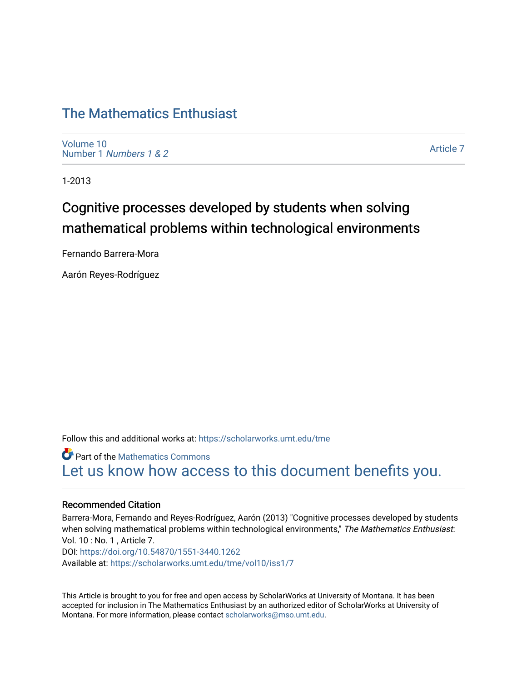## [The Mathematics Enthusiast](https://scholarworks.umt.edu/tme)

[Volume 10](https://scholarworks.umt.edu/tme/vol10) Number 1 [Numbers 1 & 2](https://scholarworks.umt.edu/tme/vol10/iss1)

[Article 7](https://scholarworks.umt.edu/tme/vol10/iss1/7) 

1-2013

# Cognitive processes developed by students when solving mathematical problems within technological environments

Fernando Barrera-Mora

Aarón Reyes-Rodríguez

Follow this and additional works at: [https://scholarworks.umt.edu/tme](https://scholarworks.umt.edu/tme?utm_source=scholarworks.umt.edu%2Ftme%2Fvol10%2Fiss1%2F7&utm_medium=PDF&utm_campaign=PDFCoverPages) 

**Part of the [Mathematics Commons](http://network.bepress.com/hgg/discipline/174?utm_source=scholarworks.umt.edu%2Ftme%2Fvol10%2Fiss1%2F7&utm_medium=PDF&utm_campaign=PDFCoverPages)** [Let us know how access to this document benefits you.](https://goo.gl/forms/s2rGfXOLzz71qgsB2) 

#### Recommended Citation

Barrera-Mora, Fernando and Reyes-Rodríguez, Aarón (2013) "Cognitive processes developed by students when solving mathematical problems within technological environments," The Mathematics Enthusiast: Vol. 10 : No. 1 , Article 7. DOI:<https://doi.org/10.54870/1551-3440.1262> Available at: [https://scholarworks.umt.edu/tme/vol10/iss1/7](https://scholarworks.umt.edu/tme/vol10/iss1/7?utm_source=scholarworks.umt.edu%2Ftme%2Fvol10%2Fiss1%2F7&utm_medium=PDF&utm_campaign=PDFCoverPages) 

This Article is brought to you for free and open access by ScholarWorks at University of Montana. It has been accepted for inclusion in The Mathematics Enthusiast by an authorized editor of ScholarWorks at University of Montana. For more information, please contact [scholarworks@mso.umt.edu.](mailto:scholarworks@mso.umt.edu)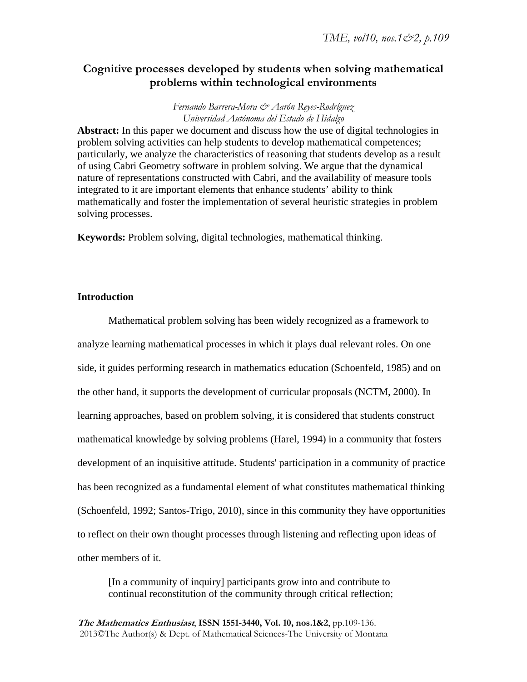### **Cognitive processes developed by students when solving mathematical problems within technological environments**

#### *Fernando Barrera-Mora & Aarón Reyes-Rodríguez Universidad Autónoma del Estado de Hidalgo*

**Abstract:** In this paper we document and discuss how the use of digital technologies in problem solving activities can help students to develop mathematical competences; particularly, we analyze the characteristics of reasoning that students develop as a result of using Cabri Geometry software in problem solving. We argue that the dynamical nature of representations constructed with Cabri, and the availability of measure tools integrated to it are important elements that enhance students' ability to think mathematically and foster the implementation of several heuristic strategies in problem solving processes.

**Keywords:** Problem solving, digital technologies, mathematical thinking.

#### **Introduction**

Mathematical problem solving has been widely recognized as a framework to analyze learning mathematical processes in which it plays dual relevant roles. On one side, it guides performing research in mathematics education (Schoenfeld, 1985) and on the other hand, it supports the development of curricular proposals (NCTM, 2000). In learning approaches, based on problem solving, it is considered that students construct mathematical knowledge by solving problems (Harel, 1994) in a community that fosters development of an inquisitive attitude. Students' participation in a community of practice has been recognized as a fundamental element of what constitutes mathematical thinking (Schoenfeld, 1992; Santos-Trigo, 2010), since in this community they have opportunities to reflect on their own thought processes through listening and reflecting upon ideas of other members of it.

[In a community of inquiry] participants grow into and contribute to continual reconstitution of the community through critical reflection;

**The Mathematics Enthusiast**, **ISSN 1551-3440, Vol. 10, nos.1&2**, pp.109-136. 2013©The Author(s) & Dept. of Mathematical Sciences-The University of Montana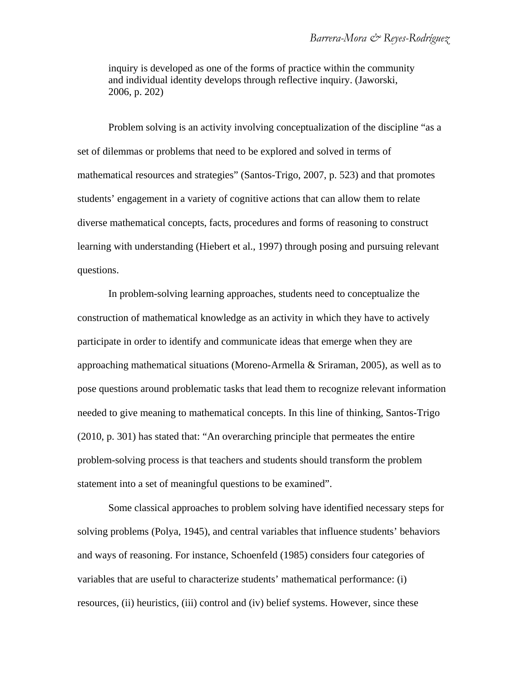inquiry is developed as one of the forms of practice within the community and individual identity develops through reflective inquiry. (Jaworski, 2006, p. 202)

Problem solving is an activity involving conceptualization of the discipline "as a set of dilemmas or problems that need to be explored and solved in terms of mathematical resources and strategies" (Santos-Trigo, 2007, p. 523) and that promotes students' engagement in a variety of cognitive actions that can allow them to relate diverse mathematical concepts, facts, procedures and forms of reasoning to construct learning with understanding (Hiebert et al., 1997) through posing and pursuing relevant questions.

In problem-solving learning approaches, students need to conceptualize the construction of mathematical knowledge as an activity in which they have to actively participate in order to identify and communicate ideas that emerge when they are approaching mathematical situations (Moreno-Armella & Sriraman, 2005), as well as to pose questions around problematic tasks that lead them to recognize relevant information needed to give meaning to mathematical concepts. In this line of thinking, Santos-Trigo (2010, p. 301) has stated that: "An overarching principle that permeates the entire problem-solving process is that teachers and students should transform the problem statement into a set of meaningful questions to be examined".

Some classical approaches to problem solving have identified necessary steps for solving problems (Polya, 1945), and central variables that influence students' behaviors and ways of reasoning. For instance, Schoenfeld (1985) considers four categories of variables that are useful to characterize students' mathematical performance: (i) resources, (ii) heuristics, (iii) control and (iv) belief systems. However, since these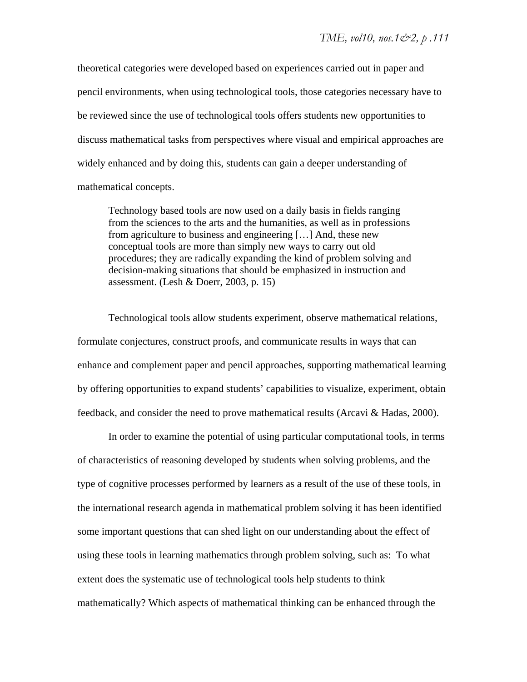theoretical categories were developed based on experiences carried out in paper and pencil environments, when using technological tools, those categories necessary have to be reviewed since the use of technological tools offers students new opportunities to discuss mathematical tasks from perspectives where visual and empirical approaches are widely enhanced and by doing this, students can gain a deeper understanding of mathematical concepts.

Technology based tools are now used on a daily basis in fields ranging from the sciences to the arts and the humanities, as well as in professions from agriculture to business and engineering […] And, these new conceptual tools are more than simply new ways to carry out old procedures; they are radically expanding the kind of problem solving and decision-making situations that should be emphasized in instruction and assessment. (Lesh & Doerr, 2003, p. 15)

Technological tools allow students experiment, observe mathematical relations, formulate conjectures, construct proofs, and communicate results in ways that can enhance and complement paper and pencil approaches, supporting mathematical learning by offering opportunities to expand students' capabilities to visualize, experiment, obtain feedback, and consider the need to prove mathematical results (Arcavi & Hadas, 2000).

In order to examine the potential of using particular computational tools, in terms of characteristics of reasoning developed by students when solving problems, and the type of cognitive processes performed by learners as a result of the use of these tools, in the international research agenda in mathematical problem solving it has been identified some important questions that can shed light on our understanding about the effect of using these tools in learning mathematics through problem solving, such as: To what extent does the systematic use of technological tools help students to think mathematically? Which aspects of mathematical thinking can be enhanced through the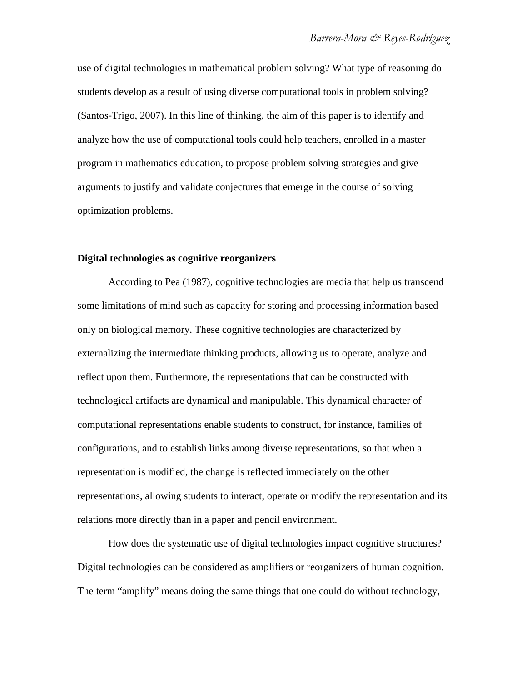use of digital technologies in mathematical problem solving? What type of reasoning do students develop as a result of using diverse computational tools in problem solving? (Santos-Trigo, 2007). In this line of thinking, the aim of this paper is to identify and analyze how the use of computational tools could help teachers, enrolled in a master program in mathematics education, to propose problem solving strategies and give arguments to justify and validate conjectures that emerge in the course of solving optimization problems.

#### **Digital technologies as cognitive reorganizers**

According to Pea (1987), cognitive technologies are media that help us transcend some limitations of mind such as capacity for storing and processing information based only on biological memory. These cognitive technologies are characterized by externalizing the intermediate thinking products, allowing us to operate, analyze and reflect upon them. Furthermore, the representations that can be constructed with technological artifacts are dynamical and manipulable. This dynamical character of computational representations enable students to construct, for instance, families of configurations, and to establish links among diverse representations, so that when a representation is modified, the change is reflected immediately on the other representations, allowing students to interact, operate or modify the representation and its relations more directly than in a paper and pencil environment.

How does the systematic use of digital technologies impact cognitive structures? Digital technologies can be considered as amplifiers or reorganizers of human cognition. The term "amplify" means doing the same things that one could do without technology,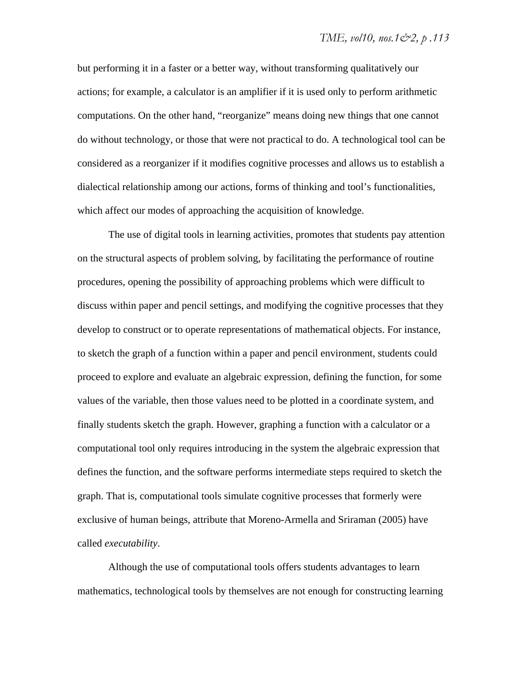but performing it in a faster or a better way, without transforming qualitatively our actions; for example, a calculator is an amplifier if it is used only to perform arithmetic computations. On the other hand, "reorganize" means doing new things that one cannot do without technology, or those that were not practical to do. A technological tool can be considered as a reorganizer if it modifies cognitive processes and allows us to establish a dialectical relationship among our actions, forms of thinking and tool's functionalities, which affect our modes of approaching the acquisition of knowledge.

The use of digital tools in learning activities, promotes that students pay attention on the structural aspects of problem solving, by facilitating the performance of routine procedures, opening the possibility of approaching problems which were difficult to discuss within paper and pencil settings, and modifying the cognitive processes that they develop to construct or to operate representations of mathematical objects. For instance, to sketch the graph of a function within a paper and pencil environment, students could proceed to explore and evaluate an algebraic expression, defining the function, for some values of the variable, then those values need to be plotted in a coordinate system, and finally students sketch the graph. However, graphing a function with a calculator or a computational tool only requires introducing in the system the algebraic expression that defines the function, and the software performs intermediate steps required to sketch the graph. That is, computational tools simulate cognitive processes that formerly were exclusive of human beings, attribute that Moreno-Armella and Sriraman (2005) have called *executability*.

Although the use of computational tools offers students advantages to learn mathematics, technological tools by themselves are not enough for constructing learning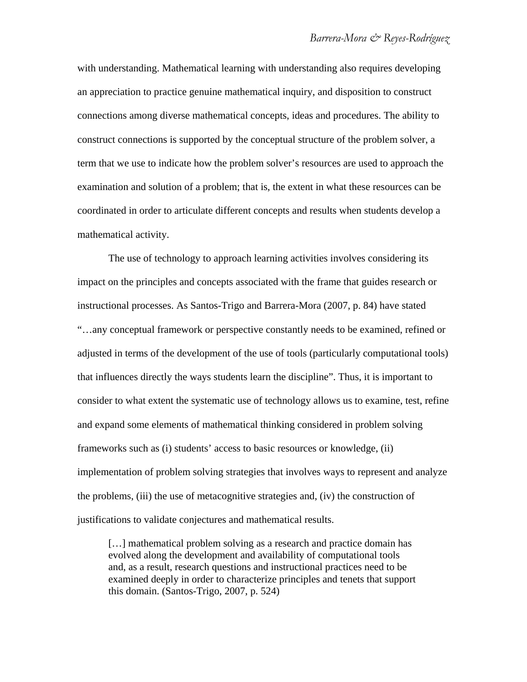with understanding. Mathematical learning with understanding also requires developing an appreciation to practice genuine mathematical inquiry, and disposition to construct connections among diverse mathematical concepts, ideas and procedures. The ability to construct connections is supported by the conceptual structure of the problem solver, a term that we use to indicate how the problem solver's resources are used to approach the examination and solution of a problem; that is, the extent in what these resources can be coordinated in order to articulate different concepts and results when students develop a mathematical activity.

The use of technology to approach learning activities involves considering its impact on the principles and concepts associated with the frame that guides research or instructional processes. As Santos-Trigo and Barrera-Mora (2007, p. 84) have stated "…any conceptual framework or perspective constantly needs to be examined, refined or adjusted in terms of the development of the use of tools (particularly computational tools) that influences directly the ways students learn the discipline". Thus, it is important to consider to what extent the systematic use of technology allows us to examine, test, refine and expand some elements of mathematical thinking considered in problem solving frameworks such as (i) students' access to basic resources or knowledge, (ii) implementation of problem solving strategies that involves ways to represent and analyze the problems, (iii) the use of metacognitive strategies and, (iv) the construction of justifications to validate conjectures and mathematical results.

[...] mathematical problem solving as a research and practice domain has evolved along the development and availability of computational tools and, as a result, research questions and instructional practices need to be examined deeply in order to characterize principles and tenets that support this domain. (Santos-Trigo, 2007, p. 524)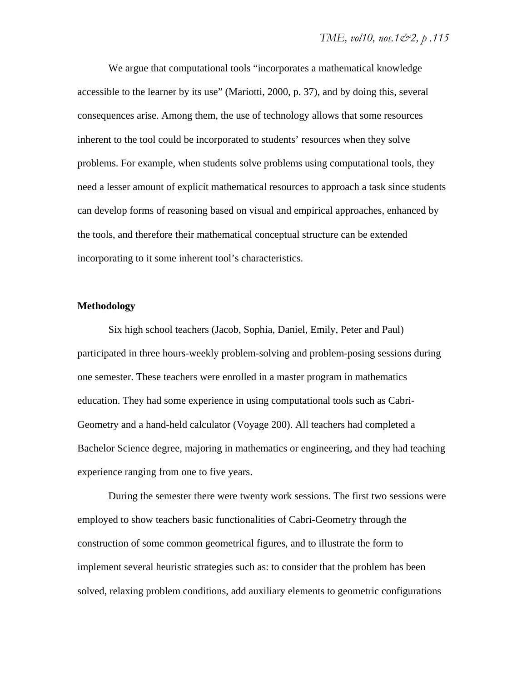We argue that computational tools "incorporates a mathematical knowledge accessible to the learner by its use" (Mariotti, 2000, p. 37), and by doing this, several consequences arise. Among them, the use of technology allows that some resources inherent to the tool could be incorporated to students' resources when they solve problems. For example, when students solve problems using computational tools, they need a lesser amount of explicit mathematical resources to approach a task since students can develop forms of reasoning based on visual and empirical approaches, enhanced by the tools, and therefore their mathematical conceptual structure can be extended incorporating to it some inherent tool's characteristics.

#### **Methodology**

Six high school teachers (Jacob, Sophia, Daniel, Emily, Peter and Paul) participated in three hours-weekly problem-solving and problem-posing sessions during one semester. These teachers were enrolled in a master program in mathematics education. They had some experience in using computational tools such as Cabri-Geometry and a hand-held calculator (Voyage 200). All teachers had completed a Bachelor Science degree, majoring in mathematics or engineering, and they had teaching experience ranging from one to five years.

During the semester there were twenty work sessions. The first two sessions were employed to show teachers basic functionalities of Cabri-Geometry through the construction of some common geometrical figures, and to illustrate the form to implement several heuristic strategies such as: to consider that the problem has been solved, relaxing problem conditions, add auxiliary elements to geometric configurations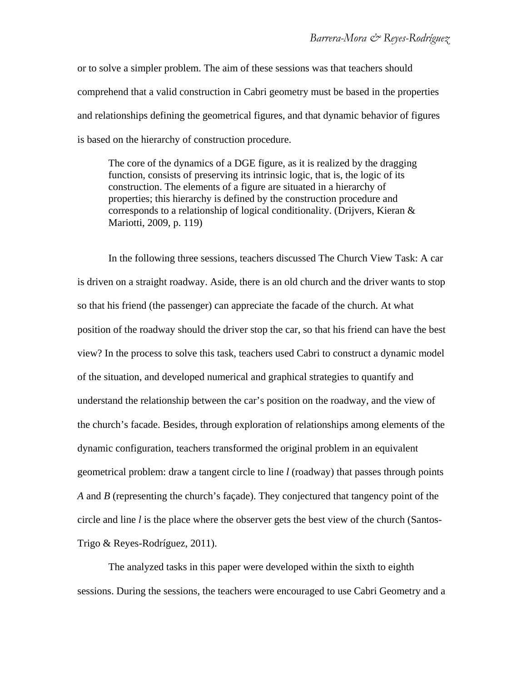or to solve a simpler problem. The aim of these sessions was that teachers should comprehend that a valid construction in Cabri geometry must be based in the properties and relationships defining the geometrical figures, and that dynamic behavior of figures is based on the hierarchy of construction procedure.

The core of the dynamics of a DGE figure, as it is realized by the dragging function, consists of preserving its intrinsic logic, that is, the logic of its construction. The elements of a figure are situated in a hierarchy of properties; this hierarchy is defined by the construction procedure and corresponds to a relationship of logical conditionality. (Drijvers, Kieran & Mariotti, 2009, p. 119)

In the following three sessions, teachers discussed The Church View Task: A car is driven on a straight roadway. Aside, there is an old church and the driver wants to stop so that his friend (the passenger) can appreciate the facade of the church. At what position of the roadway should the driver stop the car, so that his friend can have the best view? In the process to solve this task, teachers used Cabri to construct a dynamic model of the situation, and developed numerical and graphical strategies to quantify and understand the relationship between the car's position on the roadway, and the view of the church's facade. Besides, through exploration of relationships among elements of the dynamic configuration, teachers transformed the original problem in an equivalent geometrical problem: draw a tangent circle to line *l* (roadway) that passes through points *A* and *B* (representing the church's façade). They conjectured that tangency point of the circle and line *l* is the place where the observer gets the best view of the church (Santos-Trigo & Reyes-Rodríguez, 2011).

The analyzed tasks in this paper were developed within the sixth to eighth sessions. During the sessions, the teachers were encouraged to use Cabri Geometry and a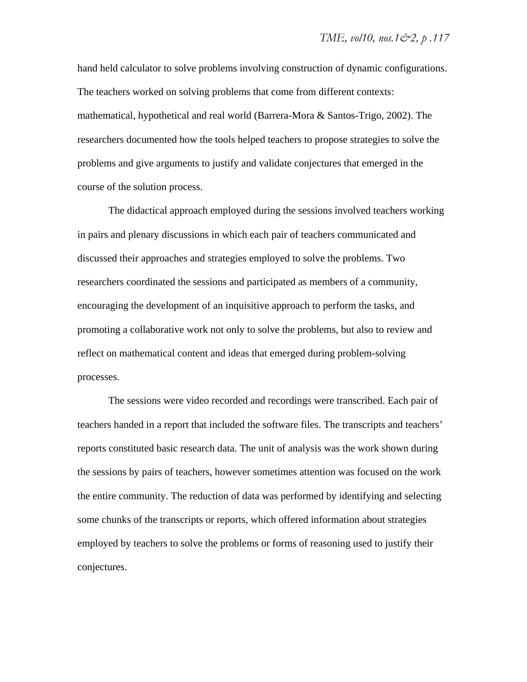hand held calculator to solve problems involving construction of dynamic configurations. The teachers worked on solving problems that come from different contexts: mathematical, hypothetical and real world (Barrera-Mora & Santos-Trigo, 2002). The researchers documented how the tools helped teachers to propose strategies to solve the problems and give arguments to justify and validate conjectures that emerged in the course of the solution process.

The didactical approach employed during the sessions involved teachers working in pairs and plenary discussions in which each pair of teachers communicated and discussed their approaches and strategies employed to solve the problems. Two researchers coordinated the sessions and participated as members of a community, encouraging the development of an inquisitive approach to perform the tasks, and promoting a collaborative work not only to solve the problems, but also to review and reflect on mathematical content and ideas that emerged during problem-solving processes.

The sessions were video recorded and recordings were transcribed. Each pair of teachers handed in a report that included the software files. The transcripts and teachers' reports constituted basic research data. The unit of analysis was the work shown during the sessions by pairs of teachers, however sometimes attention was focused on the work the entire community. The reduction of data was performed by identifying and selecting some chunks of the transcripts or reports, which offered information about strategies employed by teachers to solve the problems or forms of reasoning used to justify their conjectures.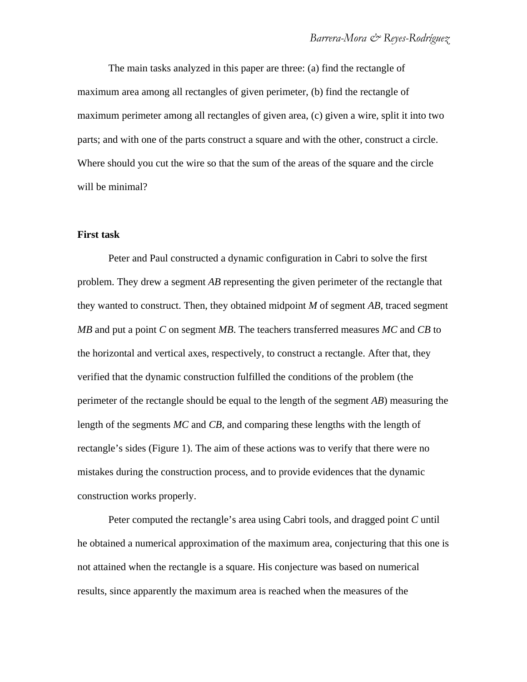The main tasks analyzed in this paper are three: (a) find the rectangle of maximum area among all rectangles of given perimeter, (b) find the rectangle of maximum perimeter among all rectangles of given area, (c) given a wire, split it into two parts; and with one of the parts construct a square and with the other, construct a circle. Where should you cut the wire so that the sum of the areas of the square and the circle will be minimal?

#### **First task**

Peter and Paul constructed a dynamic configuration in Cabri to solve the first problem. They drew a segment *AB* representing the given perimeter of the rectangle that they wanted to construct. Then, they obtained midpoint *M* of segment *AB*, traced segment *MB* and put a point *C* on segment *MB*. The teachers transferred measures *MC* and *CB* to the horizontal and vertical axes, respectively, to construct a rectangle. After that, they verified that the dynamic construction fulfilled the conditions of the problem (the perimeter of the rectangle should be equal to the length of the segment *AB*) measuring the length of the segments *MC* and *CB*, and comparing these lengths with the length of rectangle's sides (Figure 1). The aim of these actions was to verify that there were no mistakes during the construction process, and to provide evidences that the dynamic construction works properly.

Peter computed the rectangle's area using Cabri tools, and dragged point *C* until he obtained a numerical approximation of the maximum area, conjecturing that this one is not attained when the rectangle is a square. His conjecture was based on numerical results, since apparently the maximum area is reached when the measures of the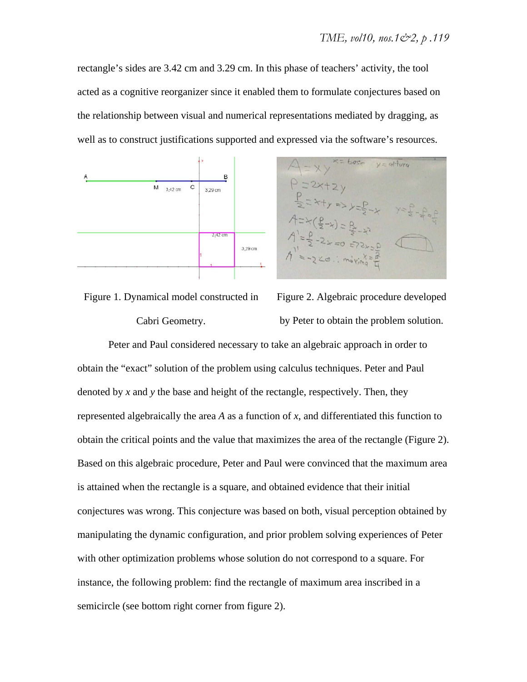rectangle's sides are 3.42 cm and 3.29 cm. In this phase of teachers' activity, the tool acted as a cognitive reorganizer since it enabled them to formulate conjectures based on the relationship between visual and numerical representations mediated by dragging, as well as to construct justifications supported and expressed via the software's resources.



 $x + 2y$ <br>  $x + y \Rightarrow y = 0$ <br>  $x^2 + y^2 \Rightarrow y = 0$ <br>  $x^2 + y^2 \Rightarrow y = 0$ <br>  $x^2 + y^2 \Rightarrow y = 0$ <br>  $x^2 + y^2 \Rightarrow y = 0$ 

Figure 1. Dynamical model constructed in Cabri Geometry.

Figure 2. Algebraic procedure developed by Peter to obtain the problem solution.

Peter and Paul considered necessary to take an algebraic approach in order to obtain the "exact" solution of the problem using calculus techniques. Peter and Paul denoted by *x* and *y* the base and height of the rectangle, respectively. Then, they represented algebraically the area *A* as a function of *x*, and differentiated this function to obtain the critical points and the value that maximizes the area of the rectangle (Figure 2). Based on this algebraic procedure, Peter and Paul were convinced that the maximum area is attained when the rectangle is a square, and obtained evidence that their initial conjectures was wrong. This conjecture was based on both, visual perception obtained by manipulating the dynamic configuration, and prior problem solving experiences of Peter with other optimization problems whose solution do not correspond to a square. For instance, the following problem: find the rectangle of maximum area inscribed in a semicircle (see bottom right corner from figure 2).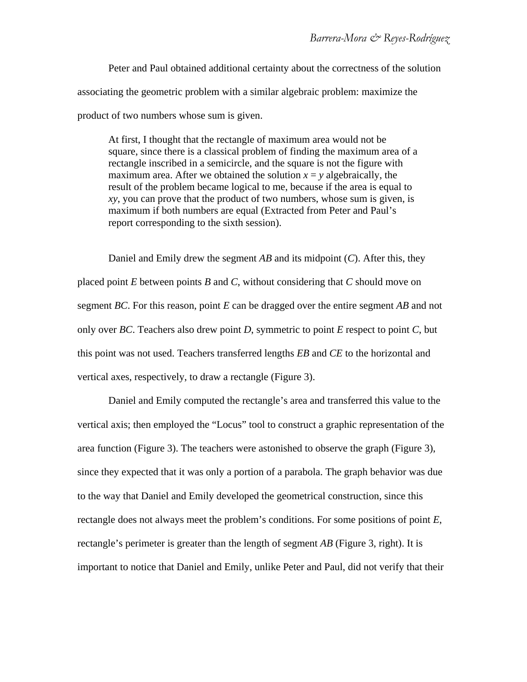Peter and Paul obtained additional certainty about the correctness of the solution associating the geometric problem with a similar algebraic problem: maximize the product of two numbers whose sum is given.

At first, I thought that the rectangle of maximum area would not be square, since there is a classical problem of finding the maximum area of a rectangle inscribed in a semicircle, and the square is not the figure with maximum area. After we obtained the solution  $x = y$  algebraically, the result of the problem became logical to me, because if the area is equal to *xy*, you can prove that the product of two numbers, whose sum is given, is maximum if both numbers are equal (Extracted from Peter and Paul's report corresponding to the sixth session).

Daniel and Emily drew the segment *AB* and its midpoint (*C*). After this, they placed point *E* between points *B* and *C*, without considering that *C* should move on segment *BC*. For this reason, point *E* can be dragged over the entire segment *AB* and not only over *BC*. Teachers also drew point *D*, symmetric to point *E* respect to point *C*, but this point was not used. Teachers transferred lengths *EB* and *CE* to the horizontal and vertical axes, respectively, to draw a rectangle (Figure 3).

Daniel and Emily computed the rectangle's area and transferred this value to the vertical axis; then employed the "Locus" tool to construct a graphic representation of the area function (Figure 3). The teachers were astonished to observe the graph (Figure 3), since they expected that it was only a portion of a parabola. The graph behavior was due to the way that Daniel and Emily developed the geometrical construction, since this rectangle does not always meet the problem's conditions. For some positions of point *E*, rectangle's perimeter is greater than the length of segment *AB* (Figure 3, right). It is important to notice that Daniel and Emily, unlike Peter and Paul, did not verify that their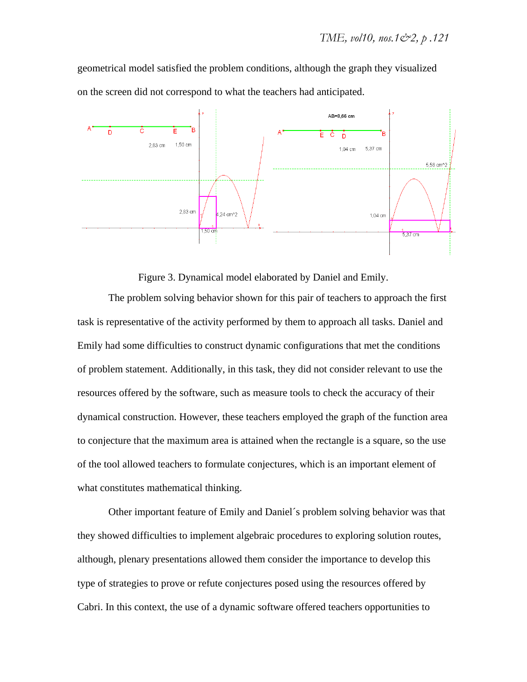geometrical model satisfied the problem conditions, although the graph they visualized on the screen did not correspond to what the teachers had anticipated.



Figure 3. Dynamical model elaborated by Daniel and Emily.

The problem solving behavior shown for this pair of teachers to approach the first task is representative of the activity performed by them to approach all tasks. Daniel and Emily had some difficulties to construct dynamic configurations that met the conditions of problem statement. Additionally, in this task, they did not consider relevant to use the resources offered by the software, such as measure tools to check the accuracy of their dynamical construction. However, these teachers employed the graph of the function area to conjecture that the maximum area is attained when the rectangle is a square, so the use of the tool allowed teachers to formulate conjectures, which is an important element of what constitutes mathematical thinking.

Other important feature of Emily and Daniel´s problem solving behavior was that they showed difficulties to implement algebraic procedures to exploring solution routes, although, plenary presentations allowed them consider the importance to develop this type of strategies to prove or refute conjectures posed using the resources offered by Cabri. In this context, the use of a dynamic software offered teachers opportunities to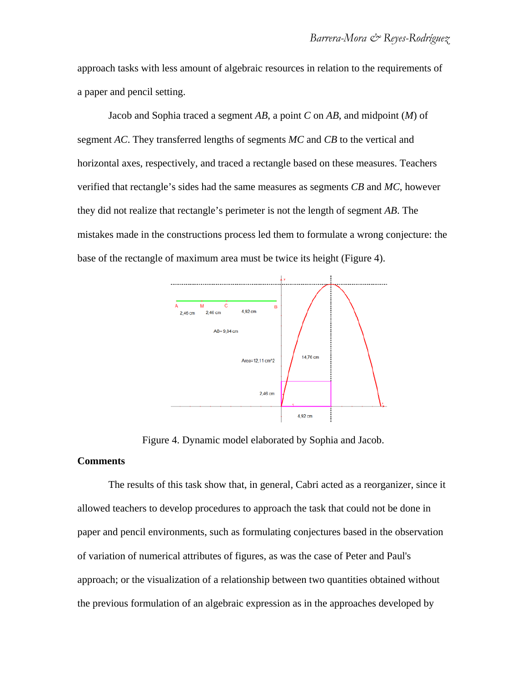approach tasks with less amount of algebraic resources in relation to the requirements of a paper and pencil setting.

Jacob and Sophia traced a segment *AB*, a point *C* on *AB*, and midpoint (*M*) of segment *AC*. They transferred lengths of segments *MC* and *CB* to the vertical and horizontal axes, respectively, and traced a rectangle based on these measures. Teachers verified that rectangle's sides had the same measures as segments *CB* and *MC*, however they did not realize that rectangle's perimeter is not the length of segment *AB*. The mistakes made in the constructions process led them to formulate a wrong conjecture: the base of the rectangle of maximum area must be twice its height (Figure 4).



Figure 4. Dynamic model elaborated by Sophia and Jacob.

#### **Comments**

The results of this task show that, in general, Cabri acted as a reorganizer, since it allowed teachers to develop procedures to approach the task that could not be done in paper and pencil environments, such as formulating conjectures based in the observation of variation of numerical attributes of figures, as was the case of Peter and Paul's approach; or the visualization of a relationship between two quantities obtained without the previous formulation of an algebraic expression as in the approaches developed by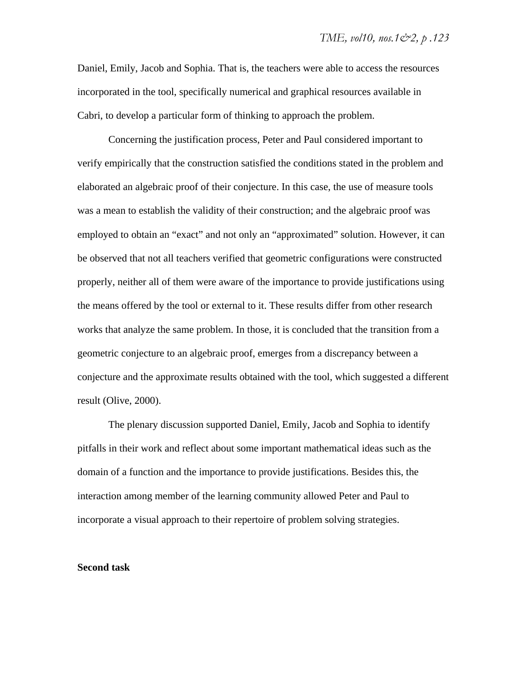Daniel, Emily, Jacob and Sophia. That is, the teachers were able to access the resources incorporated in the tool, specifically numerical and graphical resources available in Cabri, to develop a particular form of thinking to approach the problem.

Concerning the justification process, Peter and Paul considered important to verify empirically that the construction satisfied the conditions stated in the problem and elaborated an algebraic proof of their conjecture. In this case, the use of measure tools was a mean to establish the validity of their construction; and the algebraic proof was employed to obtain an "exact" and not only an "approximated" solution. However, it can be observed that not all teachers verified that geometric configurations were constructed properly, neither all of them were aware of the importance to provide justifications using the means offered by the tool or external to it. These results differ from other research works that analyze the same problem. In those, it is concluded that the transition from a geometric conjecture to an algebraic proof, emerges from a discrepancy between a conjecture and the approximate results obtained with the tool, which suggested a different result (Olive, 2000).

The plenary discussion supported Daniel, Emily, Jacob and Sophia to identify pitfalls in their work and reflect about some important mathematical ideas such as the domain of a function and the importance to provide justifications. Besides this, the interaction among member of the learning community allowed Peter and Paul to incorporate a visual approach to their repertoire of problem solving strategies.

#### **Second task**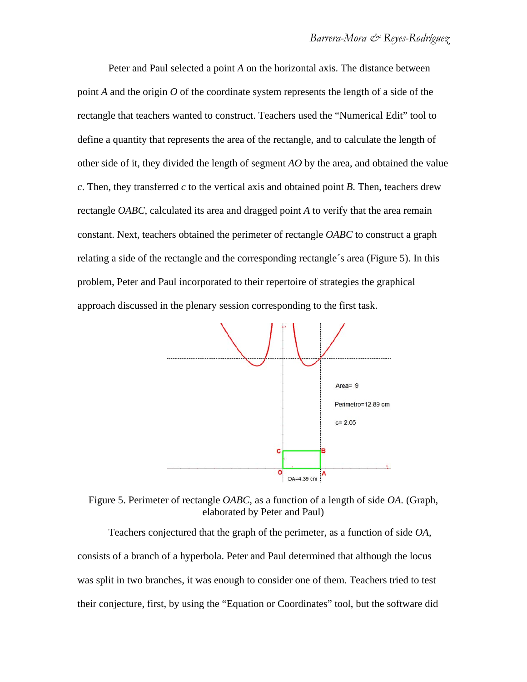Peter and Paul selected a point *A* on the horizontal axis. The distance between point *A* and the origin *O* of the coordinate system represents the length of a side of the rectangle that teachers wanted to construct. Teachers used the "Numerical Edit" tool to define a quantity that represents the area of the rectangle, and to calculate the length of other side of it, they divided the length of segment *AO* by the area, and obtained the value *c*. Then, they transferred *c* to the vertical axis and obtained point *B*. Then, teachers drew rectangle *OABC*, calculated its area and dragged point *A* to verify that the area remain constant. Next, teachers obtained the perimeter of rectangle *OABC* to construct a graph relating a side of the rectangle and the corresponding rectangle´s area (Figure 5). In this problem, Peter and Paul incorporated to their repertoire of strategies the graphical approach discussed in the plenary session corresponding to the first task.



Figure 5. Perimeter of rectangle *OABC*, as a function of a length of side *OA.* (Graph, elaborated by Peter and Paul)

Teachers conjectured that the graph of the perimeter, as a function of side *OA*, consists of a branch of a hyperbola. Peter and Paul determined that although the locus was split in two branches, it was enough to consider one of them. Teachers tried to test their conjecture, first, by using the "Equation or Coordinates" tool, but the software did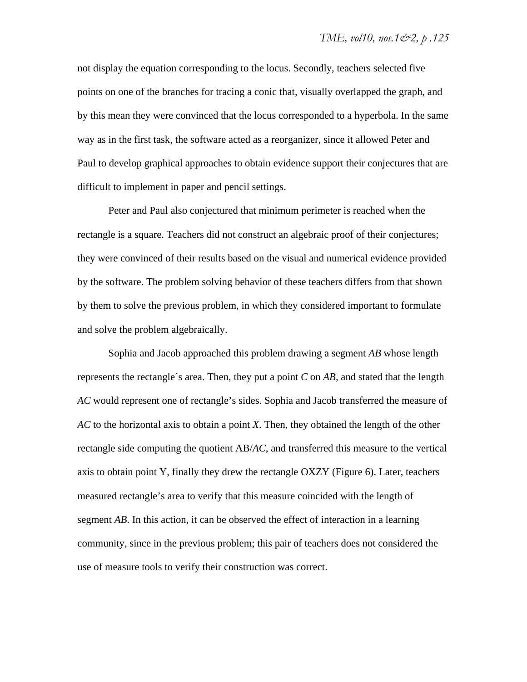not display the equation corresponding to the locus. Secondly, teachers selected five points on one of the branches for tracing a conic that, visually overlapped the graph, and by this mean they were convinced that the locus corresponded to a hyperbola. In the same way as in the first task, the software acted as a reorganizer, since it allowed Peter and Paul to develop graphical approaches to obtain evidence support their conjectures that are difficult to implement in paper and pencil settings.

Peter and Paul also conjectured that minimum perimeter is reached when the rectangle is a square. Teachers did not construct an algebraic proof of their conjectures; they were convinced of their results based on the visual and numerical evidence provided by the software. The problem solving behavior of these teachers differs from that shown by them to solve the previous problem, in which they considered important to formulate and solve the problem algebraically.

Sophia and Jacob approached this problem drawing a segment *AB* whose length represents the rectangle´s area. Then, they put a point *C* on *AB*, and stated that the length *AC* would represent one of rectangle's sides. Sophia and Jacob transferred the measure of *AC* to the horizontal axis to obtain a point *X*. Then, they obtained the length of the other rectangle side computing the quotient AB/*AC*, and transferred this measure to the vertical axis to obtain point Y, finally they drew the rectangle OXZY (Figure 6). Later, teachers measured rectangle's area to verify that this measure coincided with the length of segment *AB*. In this action, it can be observed the effect of interaction in a learning community, since in the previous problem; this pair of teachers does not considered the use of measure tools to verify their construction was correct.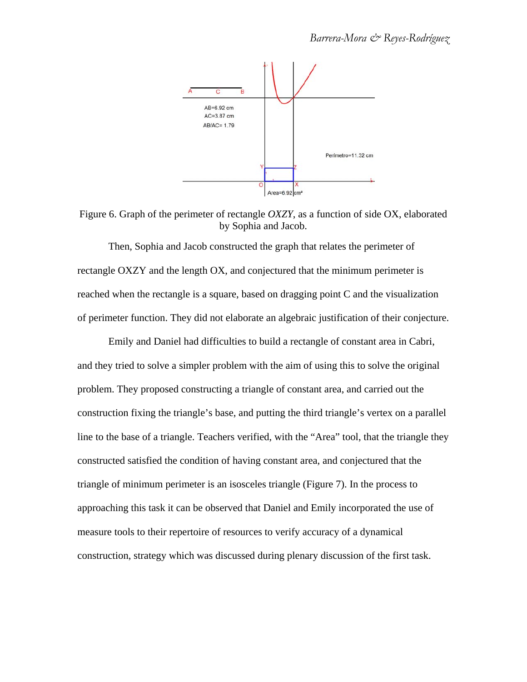

Figure 6. Graph of the perimeter of rectangle *OXZY*, as a function of side OX, elaborated by Sophia and Jacob.

Then, Sophia and Jacob constructed the graph that relates the perimeter of rectangle OXZY and the length OX, and conjectured that the minimum perimeter is reached when the rectangle is a square, based on dragging point C and the visualization of perimeter function. They did not elaborate an algebraic justification of their conjecture.

Emily and Daniel had difficulties to build a rectangle of constant area in Cabri, and they tried to solve a simpler problem with the aim of using this to solve the original problem. They proposed constructing a triangle of constant area, and carried out the construction fixing the triangle's base, and putting the third triangle's vertex on a parallel line to the base of a triangle. Teachers verified, with the "Area" tool, that the triangle they constructed satisfied the condition of having constant area, and conjectured that the triangle of minimum perimeter is an isosceles triangle (Figure 7). In the process to approaching this task it can be observed that Daniel and Emily incorporated the use of measure tools to their repertoire of resources to verify accuracy of a dynamical construction, strategy which was discussed during plenary discussion of the first task.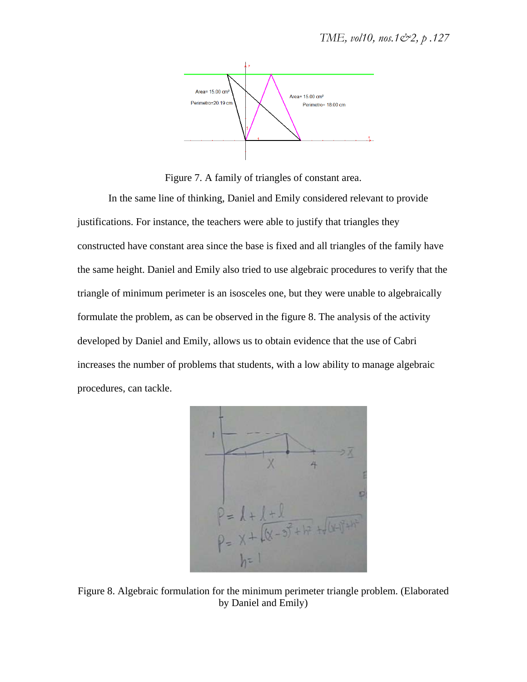

Figure 7. A family of triangles of constant area.

In the same line of thinking, Daniel and Emily considered relevant to provide justifications. For instance, the teachers were able to justify that triangles they constructed have constant area since the base is fixed and all triangles of the family have the same height. Daniel and Emily also tried to use algebraic procedures to verify that the triangle of minimum perimeter is an isosceles one, but they were unable to algebraically formulate the problem, as can be observed in the figure 8. The analysis of the activity developed by Daniel and Emily, allows us to obtain evidence that the use of Cabri increases the number of problems that students, with a low ability to manage algebraic procedures, can tackle.



Figure 8. Algebraic formulation for the minimum perimeter triangle problem. (Elaborated by Daniel and Emily)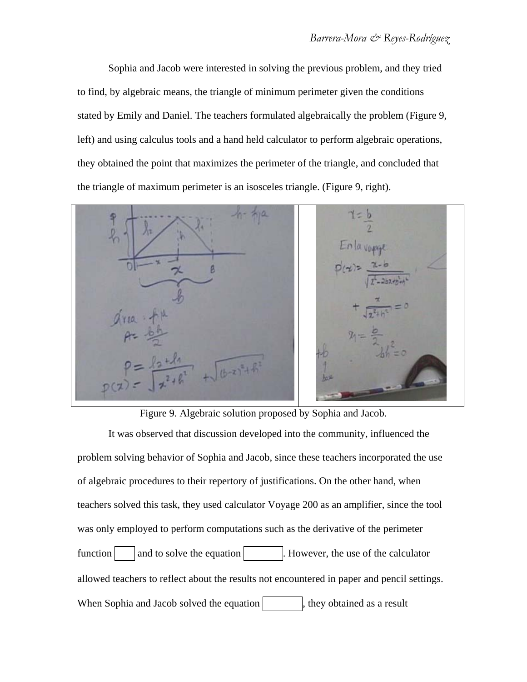Sophia and Jacob were interested in solving the previous problem, and they tried to find, by algebraic means, the triangle of minimum perimeter given the conditions stated by Emily and Daniel. The teachers formulated algebraically the problem (Figure 9, left) and using calculus tools and a hand held calculator to perform algebraic operations, they obtained the point that maximizes the perimeter of the triangle, and concluded that the triangle of maximum perimeter is an isosceles triangle. (Figure 9, right).



Figure 9. Algebraic solution proposed by Sophia and Jacob.

It was observed that discussion developed into the community, influenced the problem solving behavior of Sophia and Jacob, since these teachers incorporated the use of algebraic procedures to their repertory of justifications. On the other hand, when teachers solved this task, they used calculator Voyage 200 as an amplifier, since the tool was only employed to perform computations such as the derivative of the perimeter function and to solve the equation . However, the use of the calculator allowed teachers to reflect about the results not encountered in paper and pencil settings. When Sophia and Jacob solved the equation  $\vert$ , they obtained as a result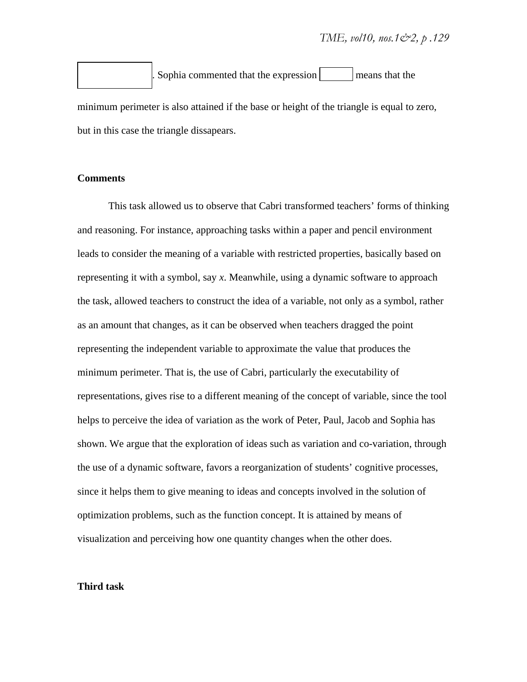Sophia commented that the expression means that the

minimum perimeter is also attained if the base or height of the triangle is equal to zero, but in this case the triangle dissapears.

#### **Comments**

This task allowed us to observe that Cabri transformed teachers' forms of thinking and reasoning. For instance, approaching tasks within a paper and pencil environment leads to consider the meaning of a variable with restricted properties, basically based on representing it with a symbol, say *x*. Meanwhile, using a dynamic software to approach the task, allowed teachers to construct the idea of a variable, not only as a symbol, rather as an amount that changes, as it can be observed when teachers dragged the point representing the independent variable to approximate the value that produces the minimum perimeter. That is, the use of Cabri, particularly the executability of representations, gives rise to a different meaning of the concept of variable, since the tool helps to perceive the idea of variation as the work of Peter, Paul, Jacob and Sophia has shown. We argue that the exploration of ideas such as variation and co-variation, through the use of a dynamic software, favors a reorganization of students' cognitive processes, since it helps them to give meaning to ideas and concepts involved in the solution of optimization problems, such as the function concept. It is attained by means of visualization and perceiving how one quantity changes when the other does.

#### **Third task**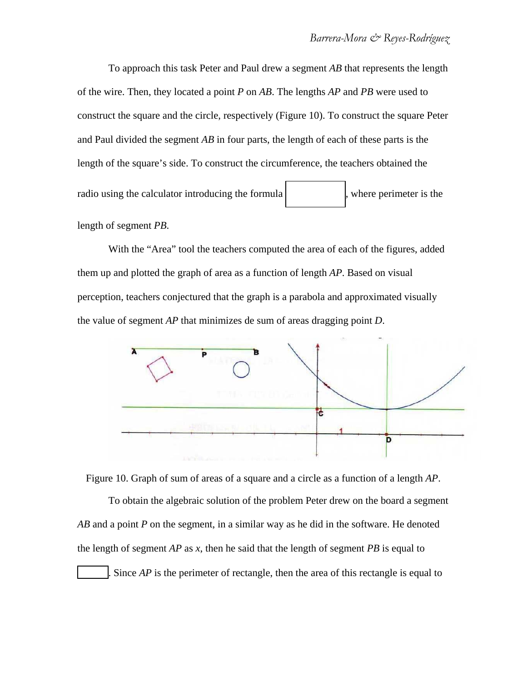To approach this task Peter and Paul drew a segment *AB* that represents the length of the wire. Then, they located a point *P* on *AB*. The lengths *AP* and *PB* were used to construct the square and the circle, respectively (Figure 10). To construct the square Peter and Paul divided the segment *AB* in four parts, the length of each of these parts is the length of the square's side. To construct the circumference, the teachers obtained the radio using the calculator introducing the formula , where perimeter is the

length of segment *PB*.

With the "Area" tool the teachers computed the area of each of the figures, added them up and plotted the graph of area as a function of length *AP*. Based on visual perception, teachers conjectured that the graph is a parabola and approximated visually the value of segment *AP* that minimizes de sum of areas dragging point *D*.



Figure 10. Graph of sum of areas of a square and a circle as a function of a length *AP*.

To obtain the algebraic solution of the problem Peter drew on the board a segment *AB* and a point *P* on the segment, in a similar way as he did in the software. He denoted the length of segment *AP* as *x*, then he said that the length of segment *PB* is equal to

Since *AP* is the perimeter of rectangle, then the area of this rectangle is equal to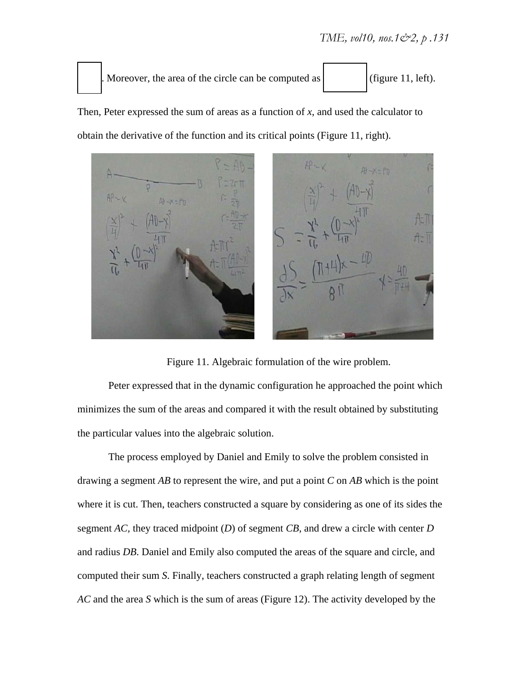Moreover, the area of the circle can be computed as  $\vert$  (figure 11, left).

obtain the derivative of the function and its critical points (Figure 11, right). AB-X-PD

Then, Peter expressed the sum of areas as a function of *x*, and used the calculator to



Peter expressed that in the dynamic configuration he approached the point which minimizes the sum of the areas and compared it with the result obtained by substituting the particular values into the algebraic solution.

The process employed by Daniel and Emily to solve the problem consisted in drawing a segment *AB* to represent the wire, and put a point *C* on *AB* which is the point where it is cut. Then, teachers constructed a square by considering as one of its sides the segment *AC,* they traced midpoint (*D*) of segment *CB*, and drew a circle with center *D* and radius *DB*. Daniel and Emily also computed the areas of the square and circle, and computed their sum *S*. Finally, teachers constructed a graph relating length of segment *AC* and the area *S* which is the sum of areas (Figure 12). The activity developed by the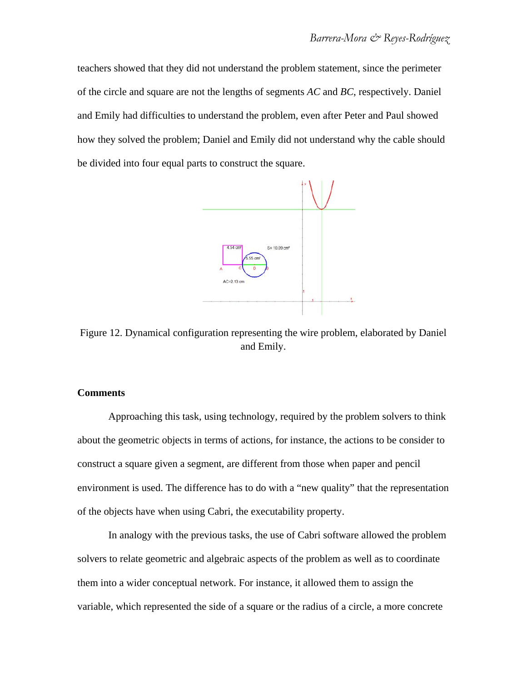teachers showed that they did not understand the problem statement, since the perimeter of the circle and square are not the lengths of segments *AC* and *BC*, respectively. Daniel and Emily had difficulties to understand the problem, even after Peter and Paul showed how they solved the problem; Daniel and Emily did not understand why the cable should be divided into four equal parts to construct the square.



Figure 12. Dynamical configuration representing the wire problem, elaborated by Daniel and Emily.

#### **Comments**

Approaching this task, using technology, required by the problem solvers to think about the geometric objects in terms of actions, for instance, the actions to be consider to construct a square given a segment, are different from those when paper and pencil environment is used. The difference has to do with a "new quality" that the representation of the objects have when using Cabri, the executability property.

In analogy with the previous tasks, the use of Cabri software allowed the problem solvers to relate geometric and algebraic aspects of the problem as well as to coordinate them into a wider conceptual network. For instance, it allowed them to assign the variable, which represented the side of a square or the radius of a circle, a more concrete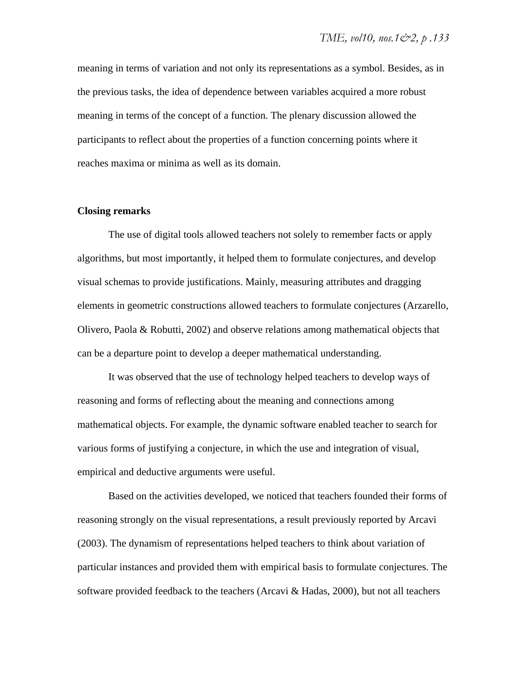meaning in terms of variation and not only its representations as a symbol. Besides, as in the previous tasks, the idea of dependence between variables acquired a more robust meaning in terms of the concept of a function. The plenary discussion allowed the participants to reflect about the properties of a function concerning points where it reaches maxima or minima as well as its domain.

#### **Closing remarks**

The use of digital tools allowed teachers not solely to remember facts or apply algorithms, but most importantly, it helped them to formulate conjectures, and develop visual schemas to provide justifications. Mainly, measuring attributes and dragging elements in geometric constructions allowed teachers to formulate conjectures (Arzarello, Olivero, Paola & Robutti, 2002) and observe relations among mathematical objects that can be a departure point to develop a deeper mathematical understanding.

It was observed that the use of technology helped teachers to develop ways of reasoning and forms of reflecting about the meaning and connections among mathematical objects. For example, the dynamic software enabled teacher to search for various forms of justifying a conjecture, in which the use and integration of visual, empirical and deductive arguments were useful.

Based on the activities developed, we noticed that teachers founded their forms of reasoning strongly on the visual representations, a result previously reported by Arcavi (2003). The dynamism of representations helped teachers to think about variation of particular instances and provided them with empirical basis to formulate conjectures. The software provided feedback to the teachers (Arcavi & Hadas, 2000), but not all teachers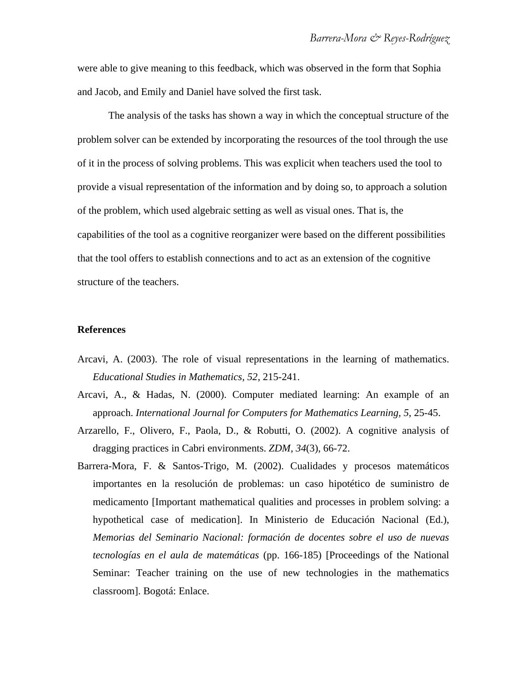were able to give meaning to this feedback, which was observed in the form that Sophia and Jacob, and Emily and Daniel have solved the first task.

The analysis of the tasks has shown a way in which the conceptual structure of the problem solver can be extended by incorporating the resources of the tool through the use of it in the process of solving problems. This was explicit when teachers used the tool to provide a visual representation of the information and by doing so, to approach a solution of the problem, which used algebraic setting as well as visual ones. That is, the capabilities of the tool as a cognitive reorganizer were based on the different possibilities that the tool offers to establish connections and to act as an extension of the cognitive structure of the teachers.

#### **References**

- Arcavi, A. (2003). The role of visual representations in the learning of mathematics. *Educational Studies in Mathematics, 52*, 215-241.
- Arcavi, A., & Hadas, N. (2000). Computer mediated learning: An example of an approach. *International Journal for Computers for Mathematics Learning, 5*, 25-45.
- Arzarello, F., Olivero, F., Paola, D., & Robutti, O. (2002). A cognitive analysis of dragging practices in Cabri environments. *ZDM, 34*(3), 66-72.
- Barrera-Mora, F. & Santos-Trigo, M. (2002). Cualidades y procesos matemáticos importantes en la resolución de problemas: un caso hipotético de suministro de medicamento [Important mathematical qualities and processes in problem solving: a hypothetical case of medication]. In Ministerio de Educación Nacional (Ed.), *Memorias del Seminario Nacional: formación de docentes sobre el uso de nuevas tecnologías en el aula de matemáticas* (pp. 166-185) [Proceedings of the National Seminar: Teacher training on the use of new technologies in the mathematics classroom]. Bogotá: Enlace.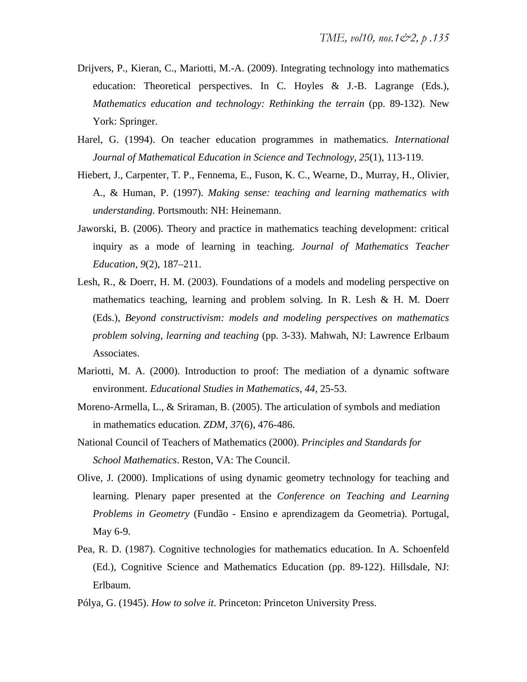- Drijvers, P., Kieran, C., Mariotti, M.-A. (2009). Integrating technology into mathematics education: Theoretical perspectives. In C. Hoyles & J.-B. Lagrange (Eds.), *Mathematics education and technology: Rethinking the terrain* (pp. 89-132). New York: Springer.
- Harel, G. (1994). On teacher education programmes in mathematics. *International Journal of Mathematical Education in Science and Technology, 25*(1), 113-119.
- Hiebert, J., Carpenter, T. P., Fennema, E., Fuson, K. C., Wearne, D., Murray, H., Olivier, A., & Human, P. (1997). *Making sense: teaching and learning mathematics with understanding*. Portsmouth: NH: Heinemann.
- Jaworski, B. (2006). Theory and practice in mathematics teaching development: critical inquiry as a mode of learning in teaching. *Journal of Mathematics Teacher Education, 9*(2), 187–211.
- Lesh, R., & Doerr, H. M. (2003). Foundations of a models and modeling perspective on mathematics teaching, learning and problem solving. In R. Lesh & H. M. Doerr (Eds.), *Beyond constructivism: models and modeling perspectives on mathematics problem solving, learning and teaching* (pp. 3-33). Mahwah, NJ: Lawrence Erlbaum Associates.
- Mariotti, M. A. (2000). Introduction to proof: The mediation of a dynamic software environment. *Educational Studies in Mathematics, 44*, 25-53.
- Moreno-Armella, L., & Sriraman, B. (2005). The articulation of symbols and mediation in mathematics education*. ZDM, 37*(6), 476-486.
- National Council of Teachers of Mathematics (2000). *Principles and Standards for School Mathematics*. Reston, VA: The Council.
- Olive, J. (2000). Implications of using dynamic geometry technology for teaching and learning. Plenary paper presented at the *Conference on Teaching and Learning Problems in Geometry* (Fundão - Ensino e aprendizagem da Geometria). Portugal, May 6-9.
- Pea, R. D. (1987). Cognitive technologies for mathematics education. In A. Schoenfeld (Ed.), Cognitive Science and Mathematics Education (pp. 89-122). Hillsdale, NJ: Erlbaum.
- Pólya, G. (1945). *How to solve it*. Princeton: Princeton University Press.